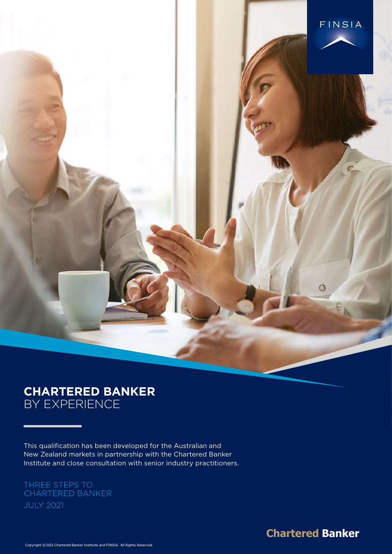

# **CHARTERED BANKER** BY EXPERIENCE

Institute and close consultation with senior industry practitioners. This qualification has been developed for the Australian and New Zealand markets in partnership with the Chartered Banker

# CHARTERED BANKER

**Chartered Banker**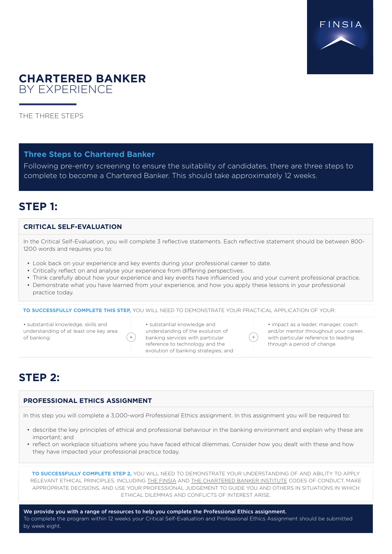

## **CHARTERED BANKER**  BY EXPERIENCE

THE THREE STEPS

#### **Three Steps to Chartered Banker**

Following pre-entry screening to ensure the suitability of candidates, there are three steps to complete to become a Chartered Banker. This should take approximately 12 weeks.

### **STEP 1:**

#### **CRITICAL SELF-EVALUATION**

In the Critical Self-Evaluation, you will complete 3 reflective statements. Each reflective statement should be between 800- 1200 words and requires you to:

- Look back on your experience and key events during your professional career to date.
- Critically reflect on and analyse your experience from differing perspectives.
- Think carefully about how your experience and key events have influenced you and your current professional practice. • Demonstrate what you have learned from your experience, and how you apply these lessons in your professional
- practice today.

 $\pm$ 

**TO SUCCESSFULLY COMPLETE THIS STEP,** YOU WILL NEED TO DEMONSTRATE YOUR PRACTICAL APPLICATION OF YOUR:

• substantial knowledge, skills and understanding of at least one key area of banking;

• substantial knowledge and understanding of the evolution of banking services with particular reference to technology and the evolution of banking strategies; and • impact as a leader, manager, coach and/or mentor throughout your career, with particular reference to leading through a period of change.

# **STEP 2:**

#### **PROFESSIONAL ETHICS ASSIGNMENT**

In this step you will complete a 3,000-word Professional Ethics assignment. In this assignment you will be required to:

- describe the key principles of ethical and professional behaviour in the banking environment and explain why these are important; and
- reflect on workplace situations where you have faced ethical dilemmas. Consider how you dealt with these and how they have impacted your professional practice today.

**TO SUCCESSFULLY COMPLETE STEP 2,** YOU WILL NEED TO DEMONSTRATE YOUR UNDERSTANDING OF AND ABILITY TO APPLY RELEVANT ETHICAL PRINCIPLES, INCLUDING [THE FINSIA](https://www.finsia.com/docs/default-source/code-of-conduct/code-of-conduct-_revised_august2013---updated-20180718.pdf) AND [THE CHARTERED BANKER INSTITUTE](https://www.finsia.com/docs/default-source/education/chartered-banker-code-of-professional-conduct.pdf?sfvrsn=b8359e93_2) CODES OF CONDUCT, MAKE APPROPRIATE DECISIONS, AND USE YOUR PROFESSIONAL JUDGEMENT TO GUIDE YOU AND OTHERS IN SITUATIONS IN WHICH ETHICAL DILEMMAS AND CONFLICTS OF INTEREST ARISE.

We provide you with a range of resources to help you complete the Professional Ethics assignment. To complete the program within 12 weeks your Critical Self-Evaluation and Professional Ethics Assignment should be submitted by week eight.